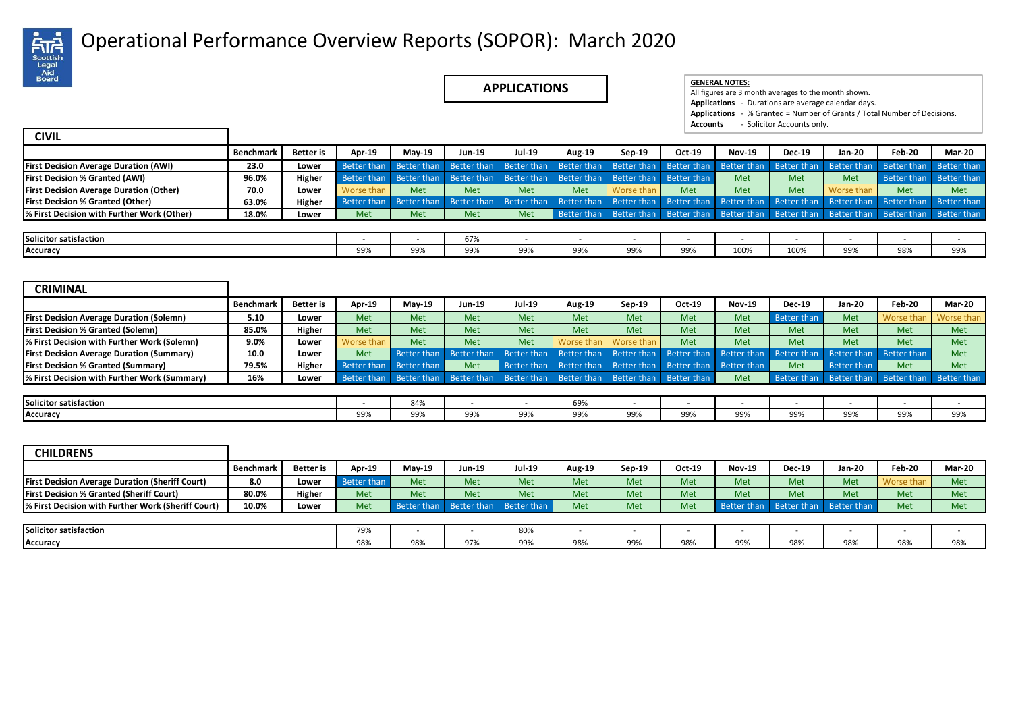

## Operational Performance Overview Reports (SOPOR): March 2020 .

**APPLICATIONS EXPRESE ALL NOTES:** 

|  | <b>GENERAL NOTES</b> |
|--|----------------------|
|  |                      |

All figures are 3 month averages to the month shown. **Applications** - Durations are average calendar days. **Applications** - % Granted = Number of Grants / Total Number of Decisions. **Accounts** - Solicitor Accounts only.

| <b>CIVIL</b>                                   |                  |                  |            |                         |               |        |                                                                     |                         |                         |               |               |               |                                                                                                 |               |
|------------------------------------------------|------------------|------------------|------------|-------------------------|---------------|--------|---------------------------------------------------------------------|-------------------------|-------------------------|---------------|---------------|---------------|-------------------------------------------------------------------------------------------------|---------------|
|                                                | <b>Benchmark</b> | <b>Better</b> is | Apr-19     | <b>Mav-19</b>           | <b>Jun-19</b> | Jul-19 | <b>Aug-19</b>                                                       | Sep-19                  | Oct-19                  | <b>Nov-19</b> | <b>Dec-19</b> | <b>Jan-20</b> | <b>Feb-20</b>                                                                                   | <b>Mar-20</b> |
| <b>First Decision Average Duration (AWI)</b>   | 23.0             | Lower            |            |                         |               |        | Better than Better than Better than Better than Better than         |                         | Better than Better than | Better than   | Better than   | Better than   | Better than                                                                                     | Better than   |
| <b>First Decision % Granted (AWI)</b>          | 96.0%            | Higher           |            |                         |               |        | Better than   Better than   Better than   Better than   Better than | Better than Better than |                         | <b>Met</b>    | Met           | Met           | Better than                                                                                     | Better than   |
| <b>First Decision Average Duration (Other)</b> | 70.0             | Lower            | Worse than | Met                     | <b>Met</b>    | Met    | Met                                                                 | Worse than              | Met                     | Met           | Met           | Worse than    | Met                                                                                             | Met           |
| <b>First Decision % Granted (Other)</b>        | 63.0%            | Higher           |            | Better than Better than | Better than   |        | Better than Better than                                             |                         |                         |               |               |               | Better than Better than Better than Better than Better than Better than                         | Better than   |
| % First Decision with Further Work (Other)     | 18.0%            | Lower            | Met        | Met                     | Met           | Met    |                                                                     |                         |                         |               |               |               | Better than Better than Better than Better than Better than Better than Better than Better than |               |
|                                                |                  |                  |            |                         |               |        |                                                                     |                         |                         |               |               |               |                                                                                                 |               |
| Solicitor satisfaction                         |                  |                  |            |                         | 67%           |        |                                                                     |                         |                         |               |               |               |                                                                                                 |               |
| Accuracy                                       |                  |                  | 99%        | 99%                     | 99%           | 99%    | 99%                                                                 | 99%                     | 99%                     | 100%          | 100%          | 99%           | 98%                                                                                             | 99%           |

| <b>CRIMINAL</b>                                  |           |                  |                         |                         |               |               |               |            |                                                 |               |                                     |             |            |                                                 |
|--------------------------------------------------|-----------|------------------|-------------------------|-------------------------|---------------|---------------|---------------|------------|-------------------------------------------------|---------------|-------------------------------------|-------------|------------|-------------------------------------------------|
|                                                  | Benchmark | <b>Better</b> is | Apr-19                  | <b>Mav-19</b>           | <b>Jun-19</b> | <b>Jul-19</b> | <b>Aug-19</b> | Sep-19     | Oct-19                                          | <b>Nov-19</b> | <b>Dec-19</b>                       | Jan-20      | Feb-20     | Mar-20                                          |
| <b>First Decision Average Duration (Solemn)</b>  | 5.10      | Lower            | <b>Met</b>              | Met                     | Met           | <b>Met</b>    | <b>Met</b>    | <b>Met</b> | Met                                             | Met           | Better than                         | Met         | Worse than | Worse than                                      |
| <b>First Decision % Granted (Solemn)</b>         | 85.0%     | Higher           | <b>Met</b>              | Met                     | Met           | Met           | <b>Met</b>    | <b>Met</b> | Met                                             | Met           | Met                                 | Met         | Met        | Met                                             |
| % First Decision with Further Work (Solemn)      | 9.0%      | Lower            | Worse than              | Met                     | Met           | Met           | Worse than    | Worse than | Met                                             | Met           | Met                                 | Met         | Met        | Met                                             |
| <b>First Decision Average Duration (Summary)</b> | 10.0      | Lower            | <b>Met</b>              | Better than             | Better than   |               |               |            | Better than Better than Better than Better than | Better than   | Better than Better than Better than |             |            | Met                                             |
| <b>First Decision % Granted (Summary)</b>        | 79.5%     | Higher           | Better than Better than |                         | Met           |               |               |            | Better than Better than Better than Better than | Better than   | Met                                 | Better than | Met        | Met                                             |
| % First Decision with Further Work (Summary)     | 16%       | Lower            |                         | Better than Better than | Better than   |               |               |            | Better than Better than Better than Better than | Met           |                                     |             |            | Better than Better than Better than Better than |

| Solicitor satisfaction |     | QAO<br>$0 + r$ |               |                | 60%<br><b>UJ/0</b> |                     |     |            |             |     |     |     |
|------------------------|-----|----------------|---------------|----------------|--------------------|---------------------|-----|------------|-------------|-----|-----|-----|
| Accuracy               | 99% | $\sim$<br>JJ 1 | nno<br>フフ / 0 | $- - -$<br>99% | 00%<br>フフパ         | 000'<br><b>JJ/0</b> | 99% | 99%<br>--- | 0.00<br>99% | 99% | 99% | 99% |

| <b>CHILDRENS</b>                                       |           |                  |                    |             |               |                    |        |            |        |               |                         |               |                          |        |
|--------------------------------------------------------|-----------|------------------|--------------------|-------------|---------------|--------------------|--------|------------|--------|---------------|-------------------------|---------------|--------------------------|--------|
|                                                        | Benchmark | <b>Better</b> is | Apr-19             | $M$ ay-19   | <b>Jun-19</b> | <b>Jul-19</b>      | Aug-19 | Sep-19     | Oct-19 | <b>Nov-19</b> | <b>Dec-19</b>           | <b>Jan-20</b> | Feb-20                   | Mar-20 |
| <b>First Decision Average Duration (Sheriff Court)</b> | 8.0       | Lower            | <b>Better than</b> | <b>Met</b>  | Met           | <b>Met</b>         | Met    | <b>Met</b> | Met    | Met           | Met                     | Met           | Worse than               | Met    |
| <b>First Decision % Granted (Sheriff Court)</b>        | 80.0%     | Higher           | Met                | Met         | Met           | Met                | Met    | Met        | Met    | Met           | Met                     | Met           | Met                      | Met    |
| % First Decision with Further Work (Sheriff Court)     | 10.0%     | Lower            | Met                | Better than | Better than   | <b>Better than</b> | Met    | Met        | Met    | Better than   | Better than Better than |               | Met                      | Met    |
|                                                        |           |                  |                    |             |               |                    |        |            |        |               |                         |               |                          |        |
| Solicitor satisfaction                                 |           |                  | 79%                |             |               | 80%                |        |            |        |               |                         |               | $\overline{\phantom{a}}$ |        |
| Accuracy                                               |           |                  | 98%                | 98%         | 97%           | 99%                | 98%    | 99%        | 98%    | 99%           | 98%                     | 98%           | 98%                      | 98%    |